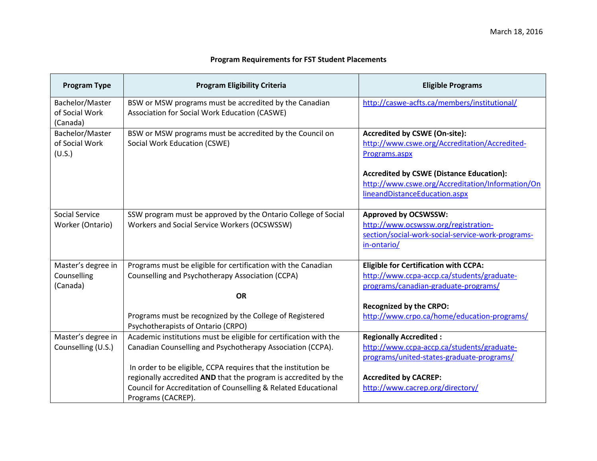## **Program Requirements for FST Student Placements**

| <b>Program Type</b>                           | <b>Program Eligibility Criteria</b>                                                                                                                                                                                       | <b>Eligible Programs</b>                                                                                                                |
|-----------------------------------------------|---------------------------------------------------------------------------------------------------------------------------------------------------------------------------------------------------------------------------|-----------------------------------------------------------------------------------------------------------------------------------------|
| Bachelor/Master<br>of Social Work<br>(Canada) | BSW or MSW programs must be accredited by the Canadian<br>Association for Social Work Education (CASWE)                                                                                                                   | http://caswe-acfts.ca/members/institutional/                                                                                            |
| Bachelor/Master<br>of Social Work<br>(U.S.)   | BSW or MSW programs must be accredited by the Council on<br>Social Work Education (CSWE)                                                                                                                                  | <b>Accredited by CSWE (On-site):</b><br>http://www.cswe.org/Accreditation/Accredited-<br>Programs.aspx                                  |
|                                               |                                                                                                                                                                                                                           | <b>Accredited by CSWE (Distance Education):</b><br>http://www.cswe.org/Accreditation/Information/On<br>lineandDistanceEducation.aspx    |
| <b>Social Service</b><br>Worker (Ontario)     | SSW program must be approved by the Ontario College of Social<br>Workers and Social Service Workers (OCSWSSW)                                                                                                             | <b>Approved by OCSWSSW:</b><br>http://www.ocswssw.org/registration-<br>section/social-work-social-service-work-programs-<br>in-ontario/ |
| Master's degree in<br>Counselling<br>(Canada) | Programs must be eligible for certification with the Canadian<br>Counselling and Psychotherapy Association (CCPA)<br><b>OR</b>                                                                                            | <b>Eligible for Certification with CCPA:</b><br>http://www.ccpa-accp.ca/students/graduate-<br>programs/canadian-graduate-programs/      |
|                                               | Programs must be recognized by the College of Registered<br>Psychotherapists of Ontario (CRPO)                                                                                                                            | <b>Recognized by the CRPO:</b><br>http://www.crpo.ca/home/education-programs/                                                           |
| Master's degree in<br>Counselling (U.S.)      | Academic institutions must be eligible for certification with the<br>Canadian Counselling and Psychotherapy Association (CCPA).                                                                                           | <b>Regionally Accredited:</b><br>http://www.ccpa-accp.ca/students/graduate-<br>programs/united-states-graduate-programs/                |
|                                               | In order to be eligible, CCPA requires that the institution be<br>regionally accredited AND that the program is accredited by the<br>Council for Accreditation of Counselling & Related Educational<br>Programs (CACREP). | <b>Accredited by CACREP:</b><br>http://www.cacrep.org/directory/                                                                        |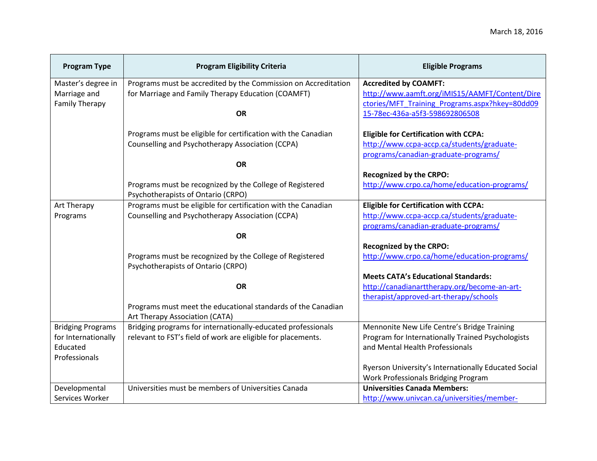| <b>Program Type</b>      | <b>Program Eligibility Criteria</b>                            | <b>Eligible Programs</b>                             |
|--------------------------|----------------------------------------------------------------|------------------------------------------------------|
| Master's degree in       | Programs must be accredited by the Commission on Accreditation | <b>Accredited by COAMFT:</b>                         |
| Marriage and             | for Marriage and Family Therapy Education (COAMFT)             | http://www.aamft.org/iMIS15/AAMFT/Content/Dire       |
| <b>Family Therapy</b>    |                                                                | ctories/MFT Training Programs.aspx?hkey=80dd09       |
|                          | <b>OR</b>                                                      | 15-78ec-436a-a5f3-598692806508                       |
|                          | Programs must be eligible for certification with the Canadian  | <b>Eligible for Certification with CCPA:</b>         |
|                          | Counselling and Psychotherapy Association (CCPA)               | http://www.ccpa-accp.ca/students/graduate-           |
|                          |                                                                | programs/canadian-graduate-programs/                 |
|                          | <b>OR</b>                                                      |                                                      |
|                          |                                                                | <b>Recognized by the CRPO:</b>                       |
|                          | Programs must be recognized by the College of Registered       | http://www.crpo.ca/home/education-programs/          |
|                          | Psychotherapists of Ontario (CRPO)                             |                                                      |
| Art Therapy              | Programs must be eligible for certification with the Canadian  | <b>Eligible for Certification with CCPA:</b>         |
| Programs                 | Counselling and Psychotherapy Association (CCPA)               | http://www.ccpa-accp.ca/students/graduate-           |
|                          |                                                                | programs/canadian-graduate-programs/                 |
|                          | <b>OR</b>                                                      |                                                      |
|                          |                                                                | <b>Recognized by the CRPO:</b>                       |
|                          | Programs must be recognized by the College of Registered       | http://www.crpo.ca/home/education-programs/          |
|                          | Psychotherapists of Ontario (CRPO)                             |                                                      |
|                          |                                                                | <b>Meets CATA's Educational Standards:</b>           |
|                          | <b>OR</b>                                                      | http://canadianarttherapy.org/become-an-art-         |
|                          |                                                                | therapist/approved-art-therapy/schools               |
|                          | Programs must meet the educational standards of the Canadian   |                                                      |
|                          | Art Therapy Association (CATA)                                 |                                                      |
| <b>Bridging Programs</b> | Bridging programs for internationally-educated professionals   | Mennonite New Life Centre's Bridge Training          |
| for Internationally      | relevant to FST's field of work are eligible for placements.   | Program for Internationally Trained Psychologists    |
| Educated                 |                                                                | and Mental Health Professionals                      |
| Professionals            |                                                                |                                                      |
|                          |                                                                | Ryerson University's Internationally Educated Social |
|                          |                                                                | Work Professionals Bridging Program                  |
| Developmental            | Universities must be members of Universities Canada            | <b>Universities Canada Members:</b>                  |
| Services Worker          |                                                                | http://www.univcan.ca/universities/member-           |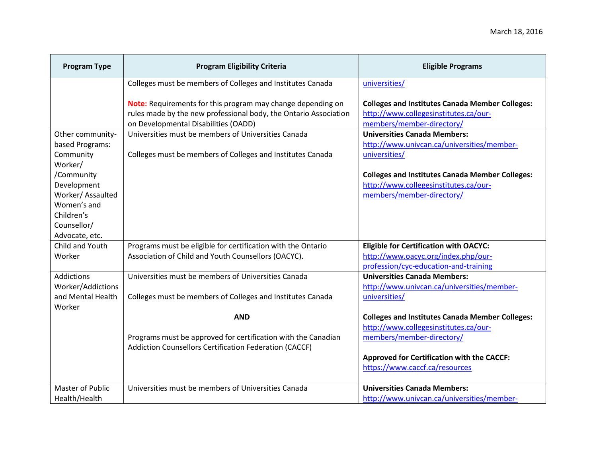| <b>Program Type</b>              | <b>Program Eligibility Criteria</b>                              | <b>Eligible Programs</b>                                                                        |
|----------------------------------|------------------------------------------------------------------|-------------------------------------------------------------------------------------------------|
|                                  | Colleges must be members of Colleges and Institutes Canada       | universities/                                                                                   |
|                                  | Note: Requirements for this program may change depending on      | <b>Colleges and Institutes Canada Member Colleges:</b>                                          |
|                                  | rules made by the new professional body, the Ontario Association | http://www.collegesinstitutes.ca/our-                                                           |
|                                  | on Developmental Disabilities (OADD)                             | members/member-directory/                                                                       |
| Other community-                 | Universities must be members of Universities Canada              | <b>Universities Canada Members:</b>                                                             |
| based Programs:                  |                                                                  | http://www.univcan.ca/universities/member-                                                      |
| Community                        | Colleges must be members of Colleges and Institutes Canada       | universities/                                                                                   |
| Worker/                          |                                                                  |                                                                                                 |
| /Community                       |                                                                  | <b>Colleges and Institutes Canada Member Colleges:</b><br>http://www.collegesinstitutes.ca/our- |
| Development<br>Worker/ Assaulted |                                                                  | members/member-directory/                                                                       |
| Women's and                      |                                                                  |                                                                                                 |
| Children's                       |                                                                  |                                                                                                 |
| Counsellor/                      |                                                                  |                                                                                                 |
| Advocate, etc.                   |                                                                  |                                                                                                 |
| Child and Youth                  | Programs must be eligible for certification with the Ontario     | <b>Eligible for Certification with OACYC:</b>                                                   |
| Worker                           | Association of Child and Youth Counsellors (OACYC).              | http://www.oacyc.org/index.php/our-                                                             |
|                                  |                                                                  | profession/cyc-education-and-training                                                           |
| <b>Addictions</b>                | Universities must be members of Universities Canada              | <b>Universities Canada Members:</b>                                                             |
| Worker/Addictions                |                                                                  | http://www.univcan.ca/universities/member-                                                      |
| and Mental Health<br>Worker      | Colleges must be members of Colleges and Institutes Canada       | universities/                                                                                   |
|                                  | <b>AND</b>                                                       | <b>Colleges and Institutes Canada Member Colleges:</b>                                          |
|                                  |                                                                  | http://www.collegesinstitutes.ca/our-                                                           |
|                                  | Programs must be approved for certification with the Canadian    | members/member-directory/                                                                       |
|                                  | Addiction Counsellors Certification Federation (CACCF)           |                                                                                                 |
|                                  |                                                                  | <b>Approved for Certification with the CACCF:</b>                                               |
|                                  |                                                                  | https://www.caccf.ca/resources                                                                  |
| <b>Master of Public</b>          | Universities must be members of Universities Canada              | <b>Universities Canada Members:</b>                                                             |
| Health/Health                    |                                                                  | http://www.univcan.ca/universities/member-                                                      |